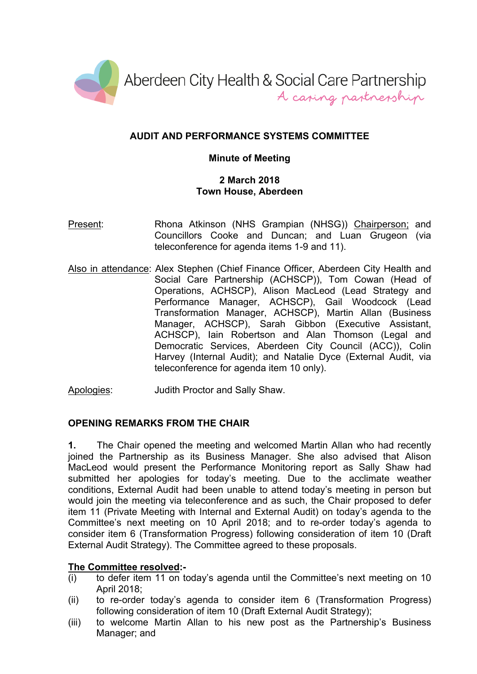

# **AUDIT AND PERFORMANCE SYSTEMS COMMITTEE**

## **Minute of Meeting**

### **2 March 2018 Town House, Aberdeen**

- Present: Rhona Atkinson (NHS Grampian (NHSG)) Chairperson; and Councillors Cooke and Duncan; and Luan Grugeon (via teleconference for agenda items 1-9 and 11).
- Also in attendance: Alex Stephen (Chief Finance Officer, Aberdeen City Health and Social Care Partnership (ACHSCP)), Tom Cowan (Head of Operations, ACHSCP), Alison MacLeod (Lead Strategy and Performance Manager, ACHSCP), Gail Woodcock (Lead Transformation Manager, ACHSCP), Martin Allan (Business Manager, ACHSCP), Sarah Gibbon (Executive Assistant, ACHSCP), Iain Robertson and Alan Thomson (Legal and Democratic Services, Aberdeen City Council (ACC)), Colin Harvey (Internal Audit); and Natalie Dyce (External Audit, via teleconference for agenda item 10 only).
- Apologies: Judith Proctor and Sally Shaw.

### **OPENING REMARKS FROM THE CHAIR**

**1.** The Chair opened the meeting and welcomed Martin Allan who had recently joined the Partnership as its Business Manager. She also advised that Alison MacLeod would present the Performance Monitoring report as Sally Shaw had submitted her apologies for today's meeting. Due to the acclimate weather conditions, External Audit had been unable to attend today's meeting in person but would join the meeting via teleconference and as such, the Chair proposed to defer item 11 (Private Meeting with Internal and External Audit) on today's agenda to the Committee's next meeting on 10 April 2018; and to re-order today's agenda to consider item 6 (Transformation Progress) following consideration of item 10 (Draft External Audit Strategy). The Committee agreed to these proposals.

### **The Committee resolved:-**

- (i) to defer item 11 on today's agenda until the Committee's next meeting on 10 April 2018;
- (ii) to re-order today's agenda to consider item 6 (Transformation Progress) following consideration of item 10 (Draft External Audit Strategy);
- (iii) to welcome Martin Allan to his new post as the Partnership's Business Manager; and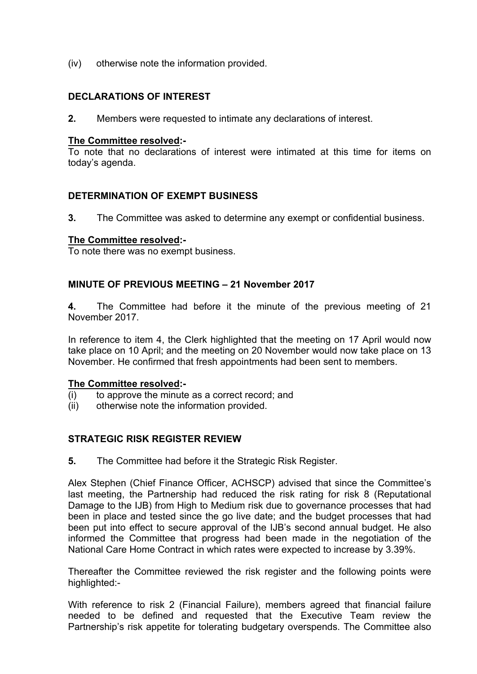(iv) otherwise note the information provided.

### **DECLARATIONS OF INTEREST**

**2.** Members were requested to intimate any declarations of interest.

#### **The Committee resolved:-**

To note that no declarations of interest were intimated at this time for items on today's agenda.

### **DETERMINATION OF EXEMPT BUSINESS**

**3.** The Committee was asked to determine any exempt or confidential business.

#### **The Committee resolved:-**

To note there was no exempt business.

### **MINUTE OF PREVIOUS MEETING – 21 November 2017**

**4.** The Committee had before it the minute of the previous meeting of 21 November 2017.

In reference to item 4, the Clerk highlighted that the meeting on 17 April would now take place on 10 April; and the meeting on 20 November would now take place on 13 November. He confirmed that fresh appointments had been sent to members.

### **The Committee resolved:-**

- (i) to approve the minute as a correct record; and
- (ii) otherwise note the information provided.

### **STRATEGIC RISK REGISTER REVIEW**

**5.** The Committee had before it the Strategic Risk Register.

Alex Stephen (Chief Finance Officer, ACHSCP) advised that since the Committee's last meeting, the Partnership had reduced the risk rating for risk 8 (Reputational Damage to the IJB) from High to Medium risk due to governance processes that had been in place and tested since the go live date; and the budget processes that had been put into effect to secure approval of the IJB's second annual budget. He also informed the Committee that progress had been made in the negotiation of the National Care Home Contract in which rates were expected to increase by 3.39%.

Thereafter the Committee reviewed the risk register and the following points were highlighted:-

With reference to risk 2 (Financial Failure), members agreed that financial failure needed to be defined and requested that the Executive Team review the Partnership's risk appetite for tolerating budgetary overspends. The Committee also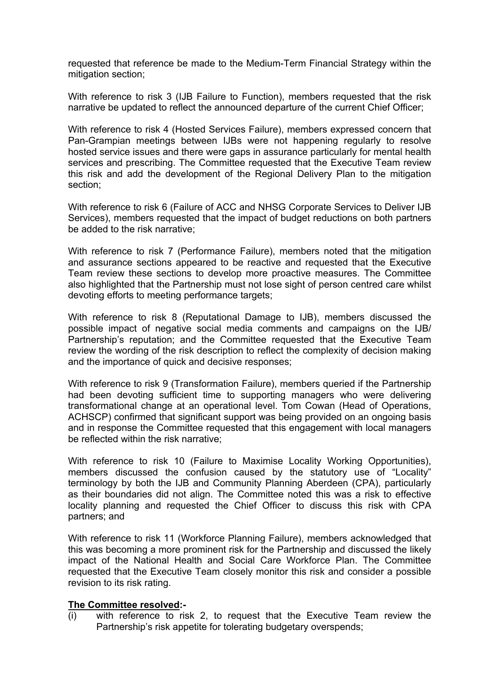requested that reference be made to the Medium-Term Financial Strategy within the mitigation section;

With reference to risk 3 (IJB Failure to Function), members requested that the risk narrative be updated to reflect the announced departure of the current Chief Officer;

With reference to risk 4 (Hosted Services Failure), members expressed concern that Pan-Grampian meetings between IJBs were not happening regularly to resolve hosted service issues and there were gaps in assurance particularly for mental health services and prescribing. The Committee requested that the Executive Team review this risk and add the development of the Regional Delivery Plan to the mitigation section;

With reference to risk 6 (Failure of ACC and NHSG Corporate Services to Deliver IJB Services), members requested that the impact of budget reductions on both partners be added to the risk narrative;

With reference to risk 7 (Performance Failure), members noted that the mitigation and assurance sections appeared to be reactive and requested that the Executive Team review these sections to develop more proactive measures. The Committee also highlighted that the Partnership must not lose sight of person centred care whilst devoting efforts to meeting performance targets;

With reference to risk 8 (Reputational Damage to IJB), members discussed the possible impact of negative social media comments and campaigns on the IJB/ Partnership's reputation; and the Committee requested that the Executive Team review the wording of the risk description to reflect the complexity of decision making and the importance of quick and decisive responses;

With reference to risk 9 (Transformation Failure), members queried if the Partnership had been devoting sufficient time to supporting managers who were delivering transformational change at an operational level. Tom Cowan (Head of Operations, ACHSCP) confirmed that significant support was being provided on an ongoing basis and in response the Committee requested that this engagement with local managers be reflected within the risk narrative;

With reference to risk 10 (Failure to Maximise Locality Working Opportunities), members discussed the confusion caused by the statutory use of "Locality" terminology by both the IJB and Community Planning Aberdeen (CPA), particularly as their boundaries did not align. The Committee noted this was a risk to effective locality planning and requested the Chief Officer to discuss this risk with CPA partners; and

With reference to risk 11 (Workforce Planning Failure), members acknowledged that this was becoming a more prominent risk for the Partnership and discussed the likely impact of the National Health and Social Care Workforce Plan. The Committee requested that the Executive Team closely monitor this risk and consider a possible revision to its risk rating.

#### **The Committee resolved:-**

(i) with reference to risk 2, to request that the Executive Team review the Partnership's risk appetite for tolerating budgetary overspends;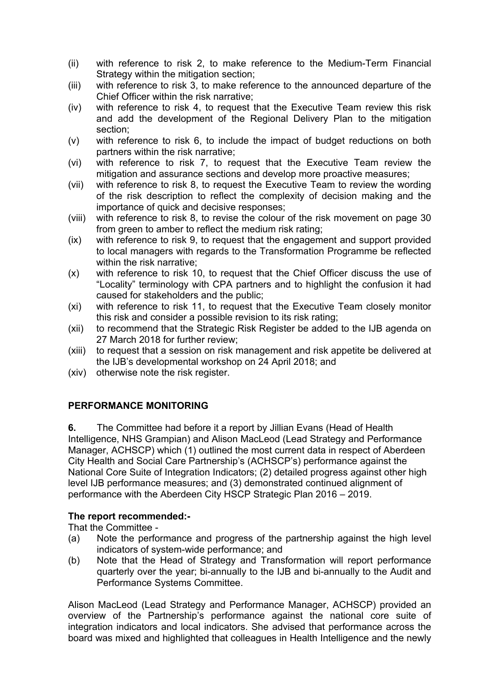- (ii) with reference to risk 2, to make reference to the Medium-Term Financial Strategy within the mitigation section;
- (iii) with reference to risk 3, to make reference to the announced departure of the Chief Officer within the risk narrative;
- (iv) with reference to risk 4, to request that the Executive Team review this risk and add the development of the Regional Delivery Plan to the mitigation section;
- (v) with reference to risk 6, to include the impact of budget reductions on both partners within the risk narrative;
- (vi) with reference to risk 7, to request that the Executive Team review the mitigation and assurance sections and develop more proactive measures;
- (vii) with reference to risk 8, to request the Executive Team to review the wording of the risk description to reflect the complexity of decision making and the importance of quick and decisive responses;
- (viii) with reference to risk 8, to revise the colour of the risk movement on page 30 from green to amber to reflect the medium risk rating;
- (ix) with reference to risk 9, to request that the engagement and support provided to local managers with regards to the Transformation Programme be reflected within the risk narrative;
- (x) with reference to risk 10, to request that the Chief Officer discuss the use of "Locality" terminology with CPA partners and to highlight the confusion it had caused for stakeholders and the public;
- (xi) with reference to risk 11, to request that the Executive Team closely monitor this risk and consider a possible revision to its risk rating;
- (xii) to recommend that the Strategic Risk Register be added to the IJB agenda on 27 March 2018 for further review;
- (xiii) to request that a session on risk management and risk appetite be delivered at the IJB's developmental workshop on 24 April 2018; and
- (xiv) otherwise note the risk register.

# **PERFORMANCE MONITORING**

**6.** The Committee had before it a report by Jillian Evans (Head of Health Intelligence, NHS Grampian) and Alison MacLeod (Lead Strategy and Performance Manager, ACHSCP) which (1) outlined the most current data in respect of Aberdeen City Health and Social Care Partnership's (ACHSCP's) performance against the National Core Suite of Integration Indicators; (2) detailed progress against other high level IJB performance measures; and (3) demonstrated continued alignment of performance with the Aberdeen City HSCP Strategic Plan 2016 – 2019.

# **The report recommended:-**

That the Committee -

- (a) Note the performance and progress of the partnership against the high level indicators of system-wide performance; and
- (b) Note that the Head of Strategy and Transformation will report performance quarterly over the year; bi-annually to the IJB and bi-annually to the Audit and Performance Systems Committee.

Alison MacLeod (Lead Strategy and Performance Manager, ACHSCP) provided an overview of the Partnership's performance against the national core suite of integration indicators and local indicators. She advised that performance across the board was mixed and highlighted that colleagues in Health Intelligence and the newly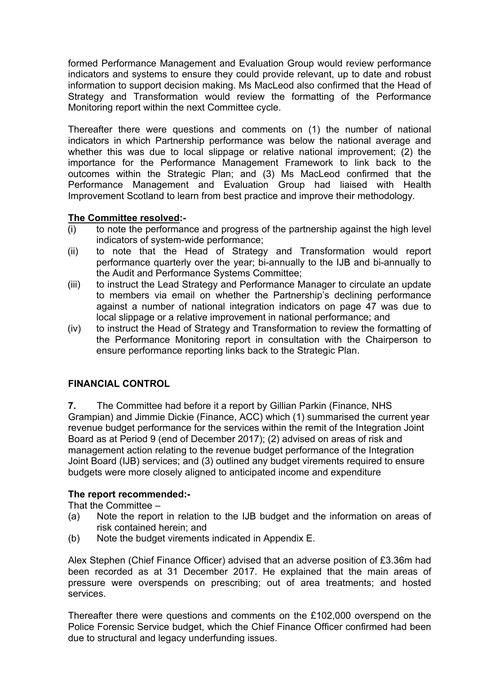formed Performance Management and Evaluation Group would review performance indicators and systems to ensure they could provide relevant, up to date and robust information to support decision making. Ms MacLeod also confirmed that the Head of Strategy and Transformation would review the formatting of the Performance Monitoring report within the next Committee cycle.

Thereafter there were questions and comments on (1) the number of national indicators in which Partnership performance was below the national average and whether this was due to local slippage or relative national improvement; (2) the importance for the Performance Management Framework to link back to the outcomes within the Strategic Plan; and (3) Ms MacLeod confirmed that the Performance Management and Evaluation Group had liaised with Health Improvement Scotland to learn from best practice and improve their methodology.

## **The Committee resolved:-**

- (i) to note the performance and progress of the partnership against the high level indicators of system-wide performance;
- (ii) to note that the Head of Strategy and Transformation would report performance quarterly over the year; bi-annually to the IJB and bi-annually to the Audit and Performance Systems Committee;
- (iii) to instruct the Lead Strategy and Performance Manager to circulate an update to members via email on whether the Partnership's declining performance against a number of national integration indicators on page 47 was due to local slippage or a relative improvement in national performance; and
- (iv) to instruct the Head of Strategy and Transformation to review the formatting of the Performance Monitoring report in consultation with the Chairperson to ensure performance reporting links back to the Strategic Plan.

# **FINANCIAL CONTROL**

**7.** The Committee had before it a report by Gillian Parkin (Finance, NHS Grampian) and Jimmie Dickie (Finance, ACC) which (1) summarised the current year revenue budget performance for the services within the remit of the Integration Joint Board as at Period 9 (end of December 2017); (2) advised on areas of risk and management action relating to the revenue budget performance of the Integration Joint Board (IJB) services; and (3) outlined any budget virements required to ensure budgets were more closely aligned to anticipated income and expenditure

### **The report recommended:-**

That the Committee –

- (a) Note the report in relation to the IJB budget and the information on areas of risk contained herein; and
- (b) Note the budget virements indicated in Appendix E.

Alex Stephen (Chief Finance Officer) advised that an adverse position of £3.36m had been recorded as at 31 December 2017. He explained that the main areas of pressure were overspends on prescribing; out of area treatments; and hosted services.

Thereafter there were questions and comments on the £102,000 overspend on the Police Forensic Service budget, which the Chief Finance Officer confirmed had been due to structural and legacy underfunding issues.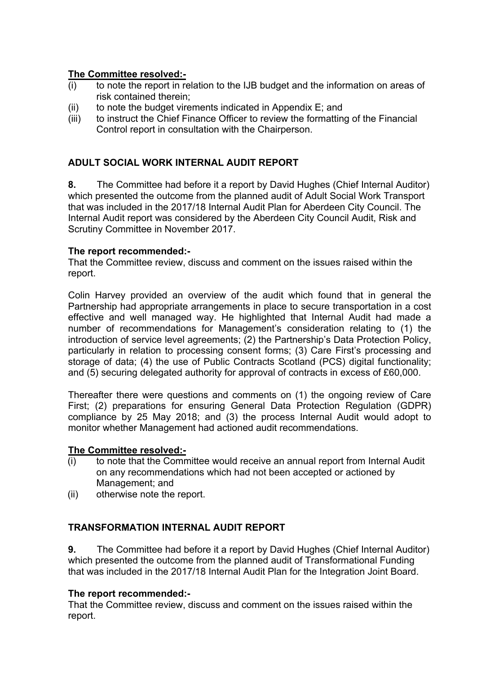# **The Committee resolved:-**

- (i) to note the report in relation to the IJB budget and the information on areas of risk contained therein;
- (ii) to note the budget virements indicated in Appendix E; and
- (iii) to instruct the Chief Finance Officer to review the formatting of the Financial Control report in consultation with the Chairperson.

# **ADULT SOCIAL WORK INTERNAL AUDIT REPORT**

**8.** The Committee had before it a report by David Hughes (Chief Internal Auditor) which presented the outcome from the planned audit of Adult Social Work Transport that was included in the 2017/18 Internal Audit Plan for Aberdeen City Council. The Internal Audit report was considered by the Aberdeen City Council Audit, Risk and Scrutiny Committee in November 2017.

## **The report recommended:-**

That the Committee review, discuss and comment on the issues raised within the report.

Colin Harvey provided an overview of the audit which found that in general the Partnership had appropriate arrangements in place to secure transportation in a cost effective and well managed way. He highlighted that Internal Audit had made a number of recommendations for Management's consideration relating to (1) the introduction of service level agreements; (2) the Partnership's Data Protection Policy, particularly in relation to processing consent forms; (3) Care First's processing and storage of data; (4) the use of Public Contracts Scotland (PCS) digital functionality; and (5) securing delegated authority for approval of contracts in excess of £60,000.

Thereafter there were questions and comments on (1) the ongoing review of Care First; (2) preparations for ensuring General Data Protection Regulation (GDPR) compliance by 25 May 2018; and (3) the process Internal Audit would adopt to monitor whether Management had actioned audit recommendations.

### **The Committee resolved:-**

- (i) to note that the Committee would receive an annual report from Internal Audit on any recommendations which had not been accepted or actioned by Management; and
- (ii) otherwise note the report.

# **TRANSFORMATION INTERNAL AUDIT REPORT**

**9.** The Committee had before it a report by David Hughes (Chief Internal Auditor) which presented the outcome from the planned audit of Transformational Funding that was included in the 2017/18 Internal Audit Plan for the Integration Joint Board.

### **The report recommended:-**

That the Committee review, discuss and comment on the issues raised within the report.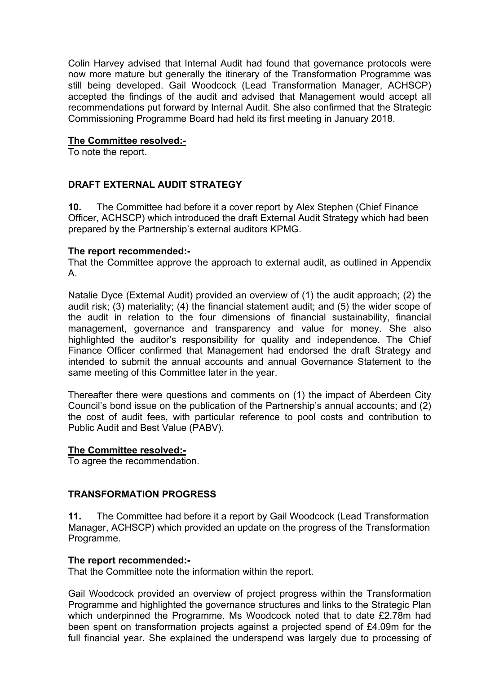Colin Harvey advised that Internal Audit had found that governance protocols were now more mature but generally the itinerary of the Transformation Programme was still being developed. Gail Woodcock (Lead Transformation Manager, ACHSCP) accepted the findings of the audit and advised that Management would accept all recommendations put forward by Internal Audit. She also confirmed that the Strategic Commissioning Programme Board had held its first meeting in January 2018.

### **The Committee resolved:-**

To note the report.

# **DRAFT EXTERNAL AUDIT STRATEGY**

**10.** The Committee had before it a cover report by Alex Stephen (Chief Finance Officer, ACHSCP) which introduced the draft External Audit Strategy which had been prepared by the Partnership's external auditors KPMG.

### **The report recommended:-**

That the Committee approve the approach to external audit, as outlined in Appendix A.

Natalie Dyce (External Audit) provided an overview of (1) the audit approach; (2) the audit risk; (3) materiality; (4) the financial statement audit; and (5) the wider scope of the audit in relation to the four dimensions of financial sustainability, financial management, governance and transparency and value for money. She also highlighted the auditor's responsibility for quality and independence. The Chief Finance Officer confirmed that Management had endorsed the draft Strategy and intended to submit the annual accounts and annual Governance Statement to the same meeting of this Committee later in the year.

Thereafter there were questions and comments on (1) the impact of Aberdeen City Council's bond issue on the publication of the Partnership's annual accounts; and (2) the cost of audit fees, with particular reference to pool costs and contribution to Public Audit and Best Value (PABV).

### **The Committee resolved:-**

To agree the recommendation.

### **TRANSFORMATION PROGRESS**

**11.** The Committee had before it a report by Gail Woodcock (Lead Transformation Manager, ACHSCP) which provided an update on the progress of the Transformation Programme.

### **The report recommended:-**

That the Committee note the information within the report.

Gail Woodcock provided an overview of project progress within the Transformation Programme and highlighted the governance structures and links to the Strategic Plan which underpinned the Programme. Ms Woodcock noted that to date £2.78m had been spent on transformation projects against a projected spend of £4.09m for the full financial year. She explained the underspend was largely due to processing of